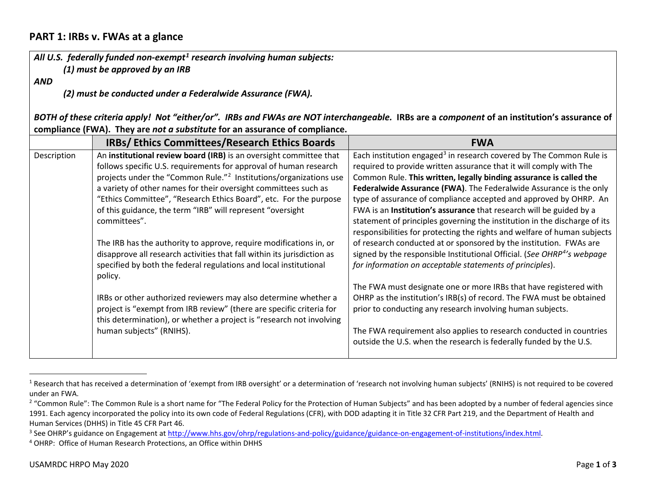## <span id="page-0-1"></span><span id="page-0-0"></span>**PART 1: IRBs v. FWAs at a glance**

*All U.S. federally funded non-exempt[1](#page-0-0) research involving human subjects: (1) must be approved by an IRB*

*AND*

<span id="page-0-3"></span><span id="page-0-2"></span>*(2) must be conducted under a Federalwide Assurance (FWA).*

*BOTH of these criteria apply! Not "either/or". IRBs and FWAs are NOT interchangeable.* **IRBs are a** *component* **of an institution's assurance of compliance (FWA). They are** *not a substitute* **for an assurance of compliance.**

|             | <b>IRBs/Ethics Committees/Research Ethics Boards</b>                          | <b>FWA</b>                                                                                                                                |
|-------------|-------------------------------------------------------------------------------|-------------------------------------------------------------------------------------------------------------------------------------------|
| Description | An institutional review board (IRB) is an oversight committee that            | Each institution engaged <sup>3</sup> in research covered by The Common Rule is                                                           |
|             | follows specific U.S. requirements for approval of human research             | required to provide written assurance that it will comply with The                                                                        |
|             | projects under the "Common Rule." <sup>2</sup> Institutions/organizations use | Common Rule. This written, legally binding assurance is called the                                                                        |
|             | a variety of other names for their oversight committees such as               | Federalwide Assurance (FWA). The Federalwide Assurance is the only                                                                        |
|             | "Ethics Committee", "Research Ethics Board", etc. For the purpose             | type of assurance of compliance accepted and approved by OHRP. An                                                                         |
|             | of this guidance, the term "IRB" will represent "oversight                    | FWA is an Institution's assurance that research will be guided by a                                                                       |
|             | committees".                                                                  | statement of principles governing the institution in the discharge of its                                                                 |
|             |                                                                               | responsibilities for protecting the rights and welfare of human subjects                                                                  |
|             | The IRB has the authority to approve, require modifications in, or            | of research conducted at or sponsored by the institution. FWAs are                                                                        |
|             | disapprove all research activities that fall within its jurisdiction as       | signed by the responsible Institutional Official. (See OHRP <sup>4'</sup> s webpage                                                       |
|             | specified by both the federal regulations and local institutional             | for information on acceptable statements of principles).                                                                                  |
|             | policy.                                                                       |                                                                                                                                           |
|             |                                                                               | The FWA must designate one or more IRBs that have registered with                                                                         |
|             | IRBs or other authorized reviewers may also determine whether a               | OHRP as the institution's IRB(s) of record. The FWA must be obtained                                                                      |
|             | project is "exempt from IRB review" (there are specific criteria for          | prior to conducting any research involving human subjects.                                                                                |
|             | this determination), or whether a project is "research not involving          |                                                                                                                                           |
|             | human subjects" (RNIHS).                                                      | The FWA requirement also applies to research conducted in countries<br>outside the U.S. when the research is federally funded by the U.S. |
|             |                                                                               |                                                                                                                                           |
|             |                                                                               |                                                                                                                                           |

 $1$  Research that has received a determination of 'exempt from IRB oversight' or a determination of 'research not involving human subjects' (RNIHS) is not required to be covered under an FWA.<br><sup>2</sup> "Common Rule": The Common Rule is a short name for "The Federal Policy for the Protection of Human Subjects" and has been adopted by a number of federal agencies since

<sup>1991.</sup> Each agency incorporated the policy into its own code of Federal Regulations (CFR), with DOD adapting it in Title 32 CFR Part 219, and the Department of Health and Human Services (DHHS) in Title 45 CFR Part 46.

<sup>&</sup>lt;sup>3</sup> See OHRP's guidance on Engagement at [http://www.hhs.gov/ohrp/regulations-and-policy/guidance/guidance-on-engagement-of-institutions/index.html.](http://www.hhs.gov/ohrp/regulations-and-policy/guidance/guidance-on-engagement-of-institutions/index.html)<br><sup>4</sup> OHRP: Office of Human Research Protections, an Office within DHHS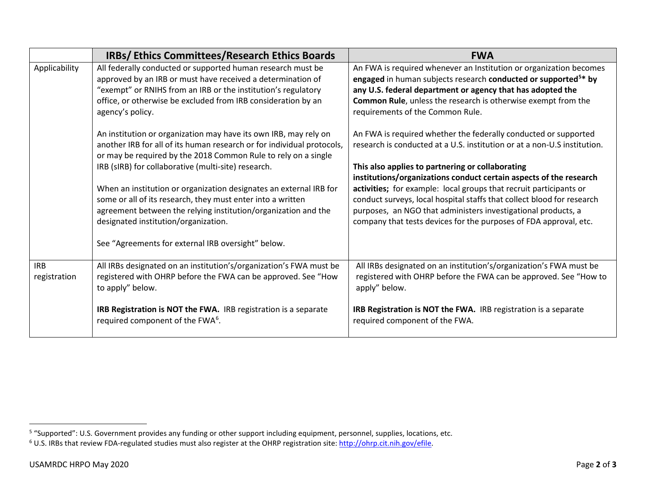<span id="page-1-1"></span><span id="page-1-0"></span>

|               | <b>IRBs/Ethics Committees/Research Ethics Boards</b>                   | <b>FWA</b>                                                                 |
|---------------|------------------------------------------------------------------------|----------------------------------------------------------------------------|
| Applicability | All federally conducted or supported human research must be            | An FWA is required whenever an Institution or organization becomes         |
|               | approved by an IRB or must have received a determination of            | engaged in human subjects research conducted or supported <sup>5*</sup> by |
|               | "exempt" or RNIHS from an IRB or the institution's regulatory          | any U.S. federal department or agency that has adopted the                 |
|               | office, or otherwise be excluded from IRB consideration by an          | Common Rule, unless the research is otherwise exempt from the              |
|               | agency's policy.                                                       | requirements of the Common Rule.                                           |
|               | An institution or organization may have its own IRB, may rely on       | An FWA is required whether the federally conducted or supported            |
|               | another IRB for all of its human research or for individual protocols, | research is conducted at a U.S. institution or at a non-U.S institution.   |
|               | or may be required by the 2018 Common Rule to rely on a single         |                                                                            |
|               | IRB (sIRB) for collaborative (multi-site) research.                    | This also applies to partnering or collaborating                           |
|               |                                                                        | institutions/organizations conduct certain aspects of the research         |
|               | When an institution or organization designates an external IRB for     | activities; for example: local groups that recruit participants or         |
|               | some or all of its research, they must enter into a written            | conduct surveys, local hospital staffs that collect blood for research     |
|               | agreement between the relying institution/organization and the         | purposes, an NGO that administers investigational products, a              |
|               | designated institution/organization.                                   | company that tests devices for the purposes of FDA approval, etc.          |
|               | See "Agreements for external IRB oversight" below.                     |                                                                            |
|               |                                                                        |                                                                            |
| <b>IRB</b>    | All IRBs designated on an institution's/organization's FWA must be     | All IRBs designated on an institution's/organization's FWA must be         |
| registration  | registered with OHRP before the FWA can be approved. See "How          | registered with OHRP before the FWA can be approved. See "How to           |
|               | to apply" below.                                                       | apply" below.                                                              |
|               | IRB Registration is NOT the FWA. IRB registration is a separate        | IRB Registration is NOT the FWA. IRB registration is a separate            |
|               | required component of the FWA <sup>6</sup> .                           | required component of the FWA.                                             |
|               |                                                                        |                                                                            |

 <sup>5</sup> "Supported": U.S. Government provides any funding or other support including equipment, personnel, supplies, locations, etc.

<sup>&</sup>lt;sup>6</sup> U.S. IRBs that review FDA-regulated studies must also register at the OHRP registration site: [http://ohrp.cit.nih.gov/efile.](http://ohrp.cit.nih.gov/efile)